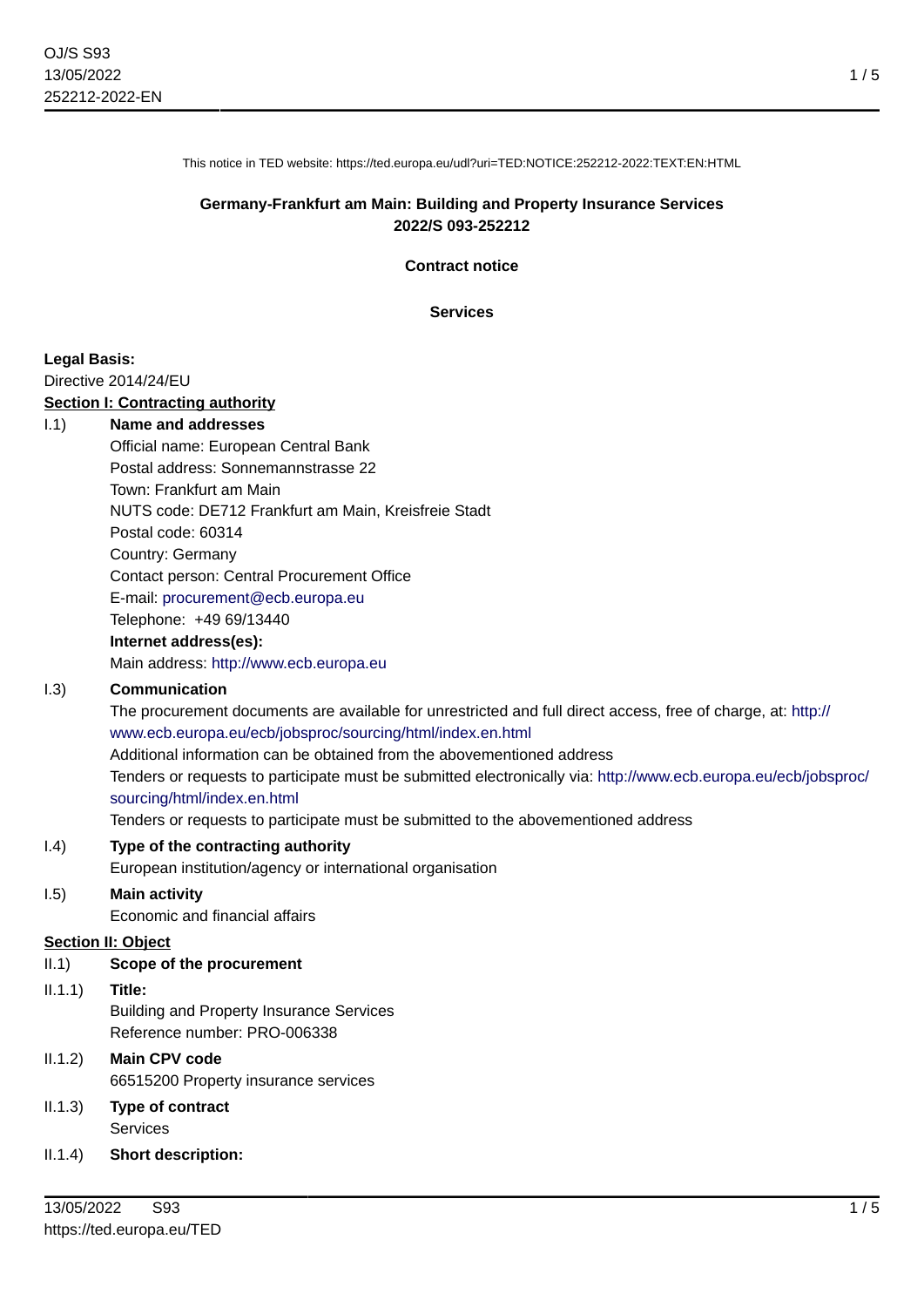1 / 5

This notice in TED website: https://ted.europa.eu/udl?uri=TED:NOTICE:252212-2022:TEXT:EN:HTML

### **Germany-Frankfurt am Main: Building and Property Insurance Services 2022/S 093-252212**

**Contract notice**

**Services**

#### **Legal Basis:**

Directive 2014/24/EU

#### **Section I: Contracting authority**

#### I.1) **Name and addresses**

Official name: European Central Bank Postal address: Sonnemannstrasse 22 Town: Frankfurt am Main NUTS code: DE712 Frankfurt am Main, Kreisfreie Stadt Postal code: 60314 Country: Germany Contact person: Central Procurement Office E-mail: [procurement@ecb.europa.eu](mailto:procurement@ecb.europa.eu) Telephone: +49 69/13440

#### **Internet address(es):**

Main address:<http://www.ecb.europa.eu>

#### I.3) **Communication**

The procurement documents are available for unrestricted and full direct access, free of charge, at: [http://](http://www.ecb.europa.eu/ecb/jobsproc/sourcing/html/index.en.html) [www.ecb.europa.eu/ecb/jobsproc/sourcing/html/index.en.html](http://www.ecb.europa.eu/ecb/jobsproc/sourcing/html/index.en.html)

#### Additional information can be obtained from the abovementioned address

Tenders or requests to participate must be submitted electronically via: [http://www.ecb.europa.eu/ecb/jobsproc/](http://www.ecb.europa.eu/ecb/jobsproc/sourcing/html/index.en.html) [sourcing/html/index.en.html](http://www.ecb.europa.eu/ecb/jobsproc/sourcing/html/index.en.html)

Tenders or requests to participate must be submitted to the abovementioned address

## I.4) **Type of the contracting authority**

European institution/agency or international organisation

## I.5) **Main activity**

Economic and financial affairs

#### **Section II: Object**

II.1) **Scope of the procurement**

### II.1.1) **Title:**

Building and Property Insurance Services Reference number: PRO-006338

# II.1.2) **Main CPV code** 66515200 Property insurance services

- II.1.3) **Type of contract** Services
- II.1.4) **Short description:**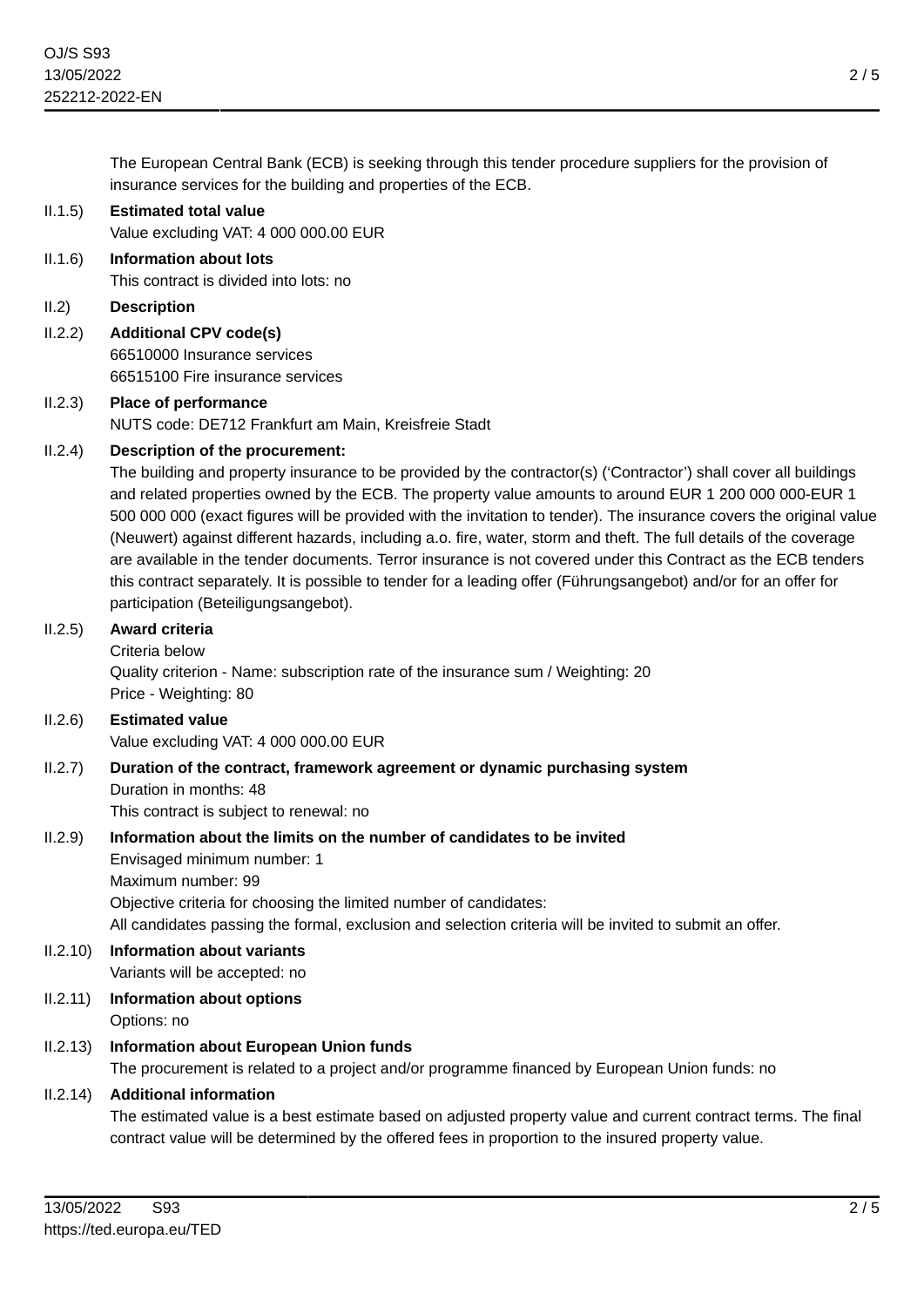The European Central Bank (ECB) is seeking through this tender procedure suppliers for the provision of insurance services for the building and properties of the ECB.

## II.1.5) **Estimated total value**

Value excluding VAT: 4 000 000.00 EUR

#### II.1.6) **Information about lots** This contract is divided into lots: no

### II.2) **Description**

## II.2.2) **Additional CPV code(s)**

66510000 Insurance services 66515100 Fire insurance services

## II.2.3) **Place of performance** NUTS code: DE712 Frankfurt am Main, Kreisfreie Stadt

## II.2.4) **Description of the procurement:**

The building and property insurance to be provided by the contractor(s) ('Contractor') shall cover all buildings and related properties owned by the ECB. The property value amounts to around EUR 1 200 000 000-EUR 1 500 000 000 (exact figures will be provided with the invitation to tender). The insurance covers the original value (Neuwert) against different hazards, including a.o. fire, water, storm and theft. The full details of the coverage are available in the tender documents. Terror insurance is not covered under this Contract as the ECB tenders this contract separately. It is possible to tender for a leading offer (Führungsangebot) and/or for an offer for participation (Beteiligungsangebot).

### II.2.5) **Award criteria**

#### Criteria below

Quality criterion - Name: subscription rate of the insurance sum / Weighting: 20 Price - Weighting: 80

### II.2.6) **Estimated value**

Value excluding VAT: 4 000 000.00 EUR

# II.2.7) **Duration of the contract, framework agreement or dynamic purchasing system** Duration in months: 48

This contract is subject to renewal: no

## II.2.9) **Information about the limits on the number of candidates to be invited**

Envisaged minimum number: 1 Maximum number: 99 Objective criteria for choosing the limited number of candidates: All candidates passing the formal, exclusion and selection criteria will be invited to submit an offer.

### II.2.10) **Information about variants** Variants will be accepted: no

II.2.11) **Information about options** Options: no

## II.2.13) **Information about European Union funds**

The procurement is related to a project and/or programme financed by European Union funds: no

## II.2.14) **Additional information**

The estimated value is a best estimate based on adjusted property value and current contract terms. The final contract value will be determined by the offered fees in proportion to the insured property value.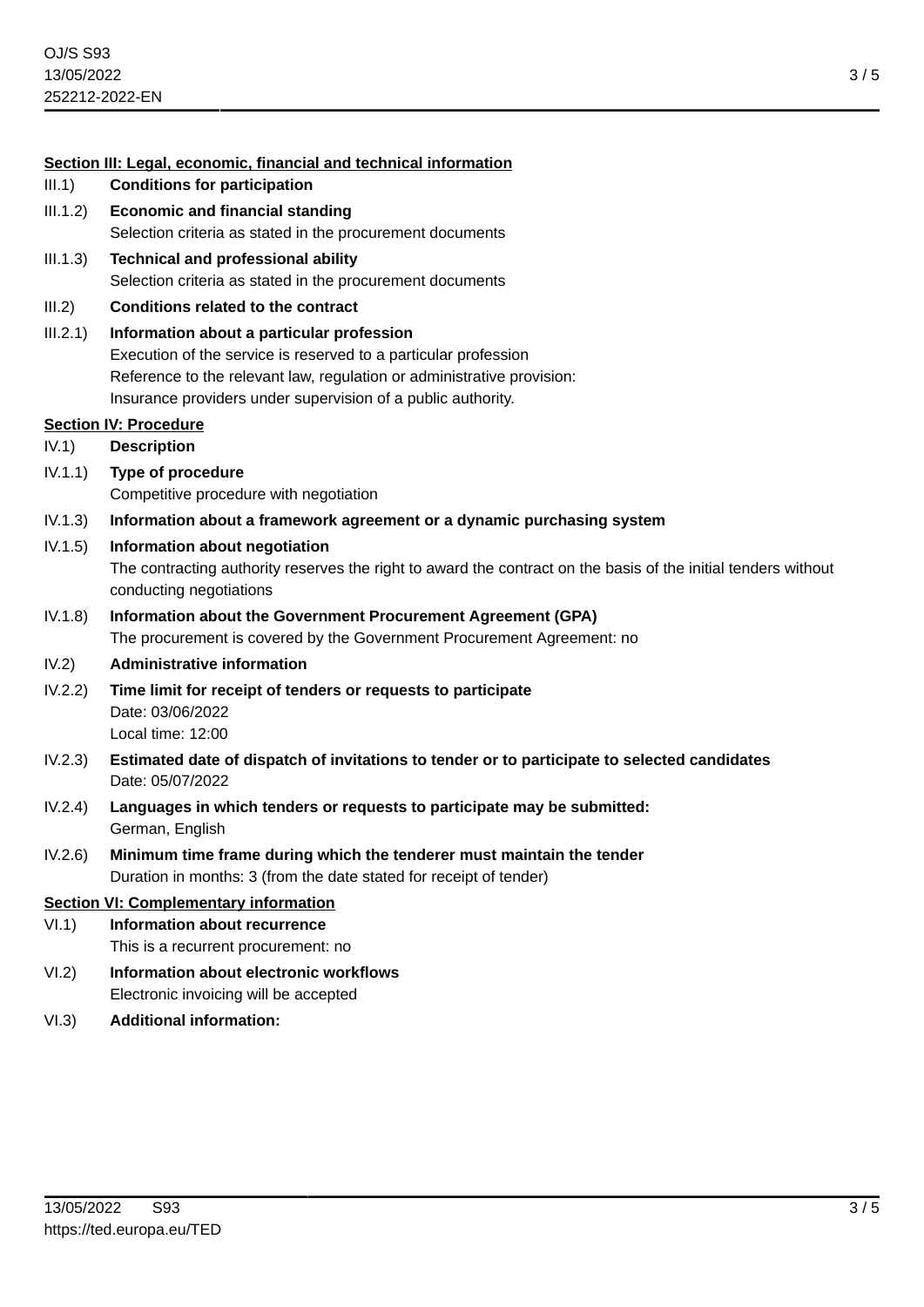|          | Section III: Legal, economic, financial and technical information                                                                                                                                                                                      |
|----------|--------------------------------------------------------------------------------------------------------------------------------------------------------------------------------------------------------------------------------------------------------|
| III.1)   | <b>Conditions for participation</b>                                                                                                                                                                                                                    |
| III.1.2) | <b>Economic and financial standing</b><br>Selection criteria as stated in the procurement documents                                                                                                                                                    |
| III.1.3) | <b>Technical and professional ability</b><br>Selection criteria as stated in the procurement documents                                                                                                                                                 |
| III.2)   | <b>Conditions related to the contract</b>                                                                                                                                                                                                              |
| III.2.1) | Information about a particular profession<br>Execution of the service is reserved to a particular profession<br>Reference to the relevant law, regulation or administrative provision:<br>Insurance providers under supervision of a public authority. |
|          | <b>Section IV: Procedure</b>                                                                                                                                                                                                                           |
| IV.1)    | <b>Description</b>                                                                                                                                                                                                                                     |
| IV.1.1)  | Type of procedure<br>Competitive procedure with negotiation                                                                                                                                                                                            |
| IV.1.3)  | Information about a framework agreement or a dynamic purchasing system                                                                                                                                                                                 |
| IV.1.5)  | Information about negotiation<br>The contracting authority reserves the right to award the contract on the basis of the initial tenders without<br>conducting negotiations                                                                             |
| IV.1.8)  | Information about the Government Procurement Agreement (GPA)<br>The procurement is covered by the Government Procurement Agreement: no                                                                                                                 |
| IV.2)    | <b>Administrative information</b>                                                                                                                                                                                                                      |
| IV.2.2)  | Time limit for receipt of tenders or requests to participate<br>Date: 03/06/2022<br>Local time: 12:00                                                                                                                                                  |
| IV.2.3)  | Estimated date of dispatch of invitations to tender or to participate to selected candidates<br>Date: 05/07/2022                                                                                                                                       |
| IV.2.4)  | Languages in which tenders or requests to participate may be submitted:<br>German, English                                                                                                                                                             |
| IV.2.6)  | Minimum time frame during which the tenderer must maintain the tender<br>Duration in months: 3 (from the date stated for receipt of tender)                                                                                                            |
|          | <b>Section VI: Complementary information</b>                                                                                                                                                                                                           |
| VI.1)    | <b>Information about recurrence</b><br>This is a recurrent procurement: no                                                                                                                                                                             |
| VI.2)    | Information about electronic workflows<br>Electronic invoicing will be accepted                                                                                                                                                                        |
| VI.3)    | <b>Additional information:</b>                                                                                                                                                                                                                         |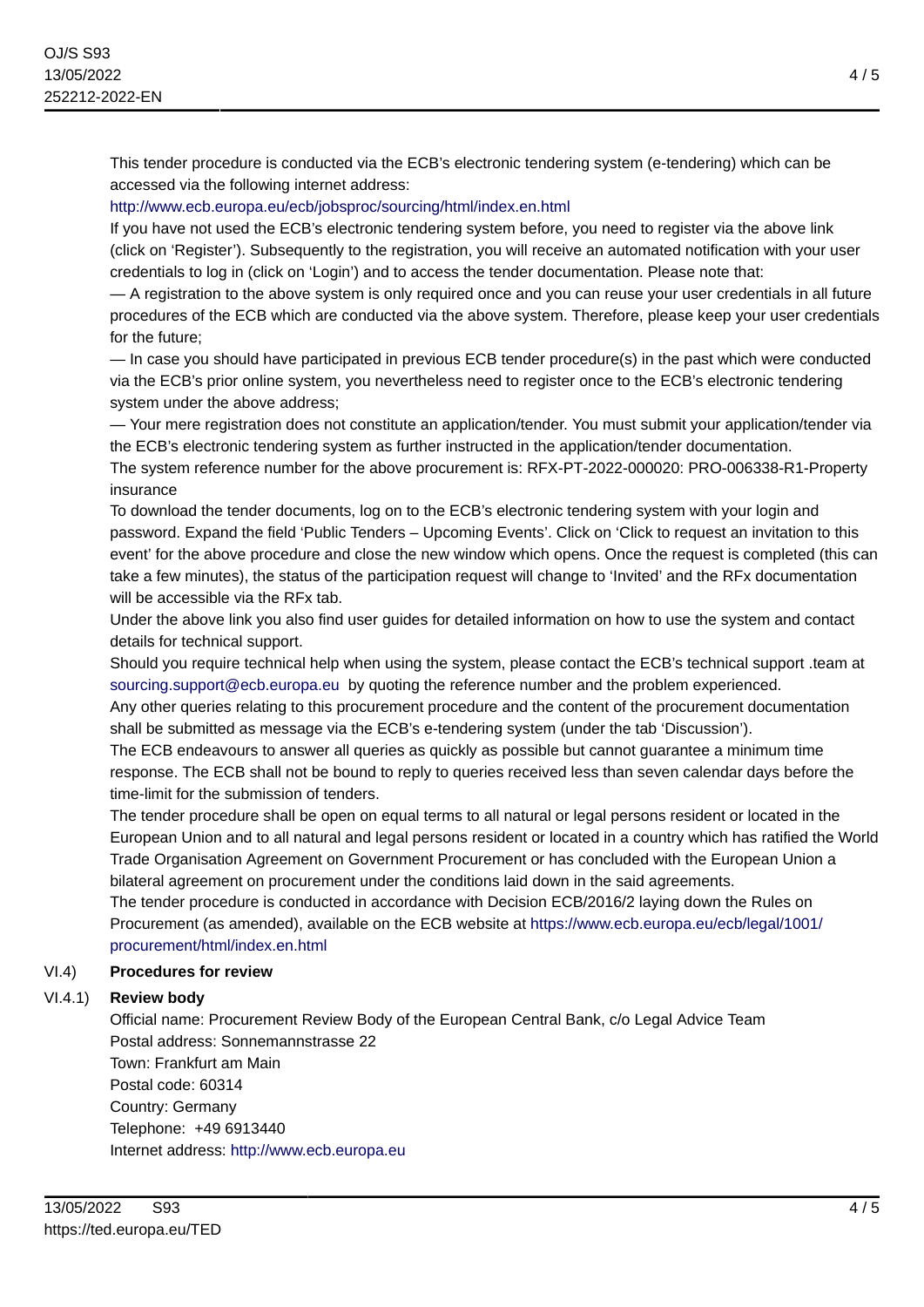This tender procedure is conducted via the ECB's electronic tendering system (e-tendering) which can be accessed via the following internet address:

## <http://www.ecb.europa.eu/ecb/jobsproc/sourcing/html/index.en.html>

If you have not used the ECB's electronic tendering system before, you need to register via the above link (click on 'Register'). Subsequently to the registration, you will receive an automated notification with your user credentials to log in (click on 'Login') and to access the tender documentation. Please note that:

— A registration to the above system is only required once and you can reuse your user credentials in all future procedures of the ECB which are conducted via the above system. Therefore, please keep your user credentials for the future;

— In case you should have participated in previous ECB tender procedure(s) in the past which were conducted via the ECB's prior online system, you nevertheless need to register once to the ECB's electronic tendering system under the above address;

— Your mere registration does not constitute an application/tender. You must submit your application/tender via the ECB's electronic tendering system as further instructed in the application/tender documentation.

The system reference number for the above procurement is: RFX-PT-2022-000020: PRO-006338-R1-Property insurance

To download the tender documents, log on to the ECB's electronic tendering system with your login and password. Expand the field 'Public Tenders – Upcoming Events'. Click on 'Click to request an invitation to this event' for the above procedure and close the new window which opens. Once the request is completed (this can take a few minutes), the status of the participation request will change to 'Invited' and the RFx documentation will be accessible via the RFx tab.

Under the above link you also find user guides for detailed information on how to use the system and contact details for technical support.

Should you require technical help when using the system, please contact the ECB's technical support .team at [sourcing.support@ecb.europa.eu](mailto:sourcing.support@ecb.europa.eu) by quoting the reference number and the problem experienced.

Any other queries relating to this procurement procedure and the content of the procurement documentation shall be submitted as message via the ECB's e-tendering system (under the tab 'Discussion').

The ECB endeavours to answer all queries as quickly as possible but cannot guarantee a minimum time response. The ECB shall not be bound to reply to queries received less than seven calendar days before the time-limit for the submission of tenders.

The tender procedure shall be open on equal terms to all natural or legal persons resident or located in the European Union and to all natural and legal persons resident or located in a country which has ratified the World Trade Organisation Agreement on Government Procurement or has concluded with the European Union a bilateral agreement on procurement under the conditions laid down in the said agreements.

The tender procedure is conducted in accordance with Decision ECB/2016/2 laying down the Rules on Procurement (as amended), available on the ECB website at [https://www.ecb.europa.eu/ecb/legal/1001/](https://www.ecb.europa.eu/ecb/legal/1001/procurement/html/index.en.html) [procurement/html/index.en.html](https://www.ecb.europa.eu/ecb/legal/1001/procurement/html/index.en.html)

## VI.4) **Procedures for review**

## VI.4.1) **Review body**

Official name: Procurement Review Body of the European Central Bank, c/o Legal Advice Team Postal address: Sonnemannstrasse 22 Town: Frankfurt am Main Postal code: 60314 Country: Germany Telephone: +49 6913440 Internet address: <http://www.ecb.europa.eu>